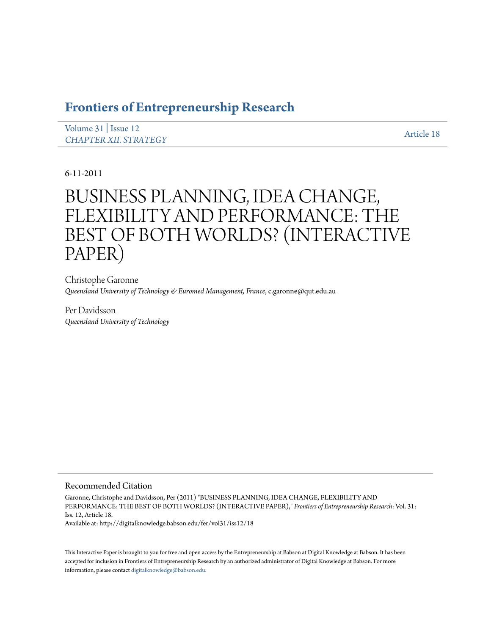## **[Frontiers of Entrepreneurship Research](http://digitalknowledge.babson.edu/fer)**

[Volume 31](http://digitalknowledge.babson.edu/fer/vol31) | [Issue 12](http://digitalknowledge.babson.edu/fer/vol31/iss12) **[CHAPTER XII. STRATEGY](http://digitalknowledge.babson.edu/fer/vol31/iss12)** And CHAPTER XII. STRATEGY

6-11-2011

# BUSINESS PLANNING, IDEA CHANGE, FLEXIBILITY AND PERFORMANCE: THE BEST OF BOTH WORLDS? (INTERACTIVE PAPER)

Christophe Garonne *Queensland University of Technology & Euromed Management, France*, c.garonne@qut.edu.au

Per Davidsson *Queensland University of Technology*

#### Recommended Citation

Garonne, Christophe and Davidsson, Per (2011) "BUSINESS PLANNING, IDEA CHANGE, FLEXIBILITY AND PERFORMANCE: THE BEST OF BOTH WORLDS? (INTERACTIVE PAPER)," *Frontiers of Entrepreneurship Research*: Vol. 31: Iss. 12, Article 18.

Available at: http://digitalknowledge.babson.edu/fer/vol31/iss12/18

This Interactive Paper is brought to you for free and open access by the Entrepreneurship at Babson at Digital Knowledge at Babson. It has been accepted for inclusion in Frontiers of Entrepreneurship Research by an authorized administrator of Digital Knowledge at Babson. For more information, please contact [digitalknowledge@babson.edu.](mailto:digitalknowledge@babson.edu)